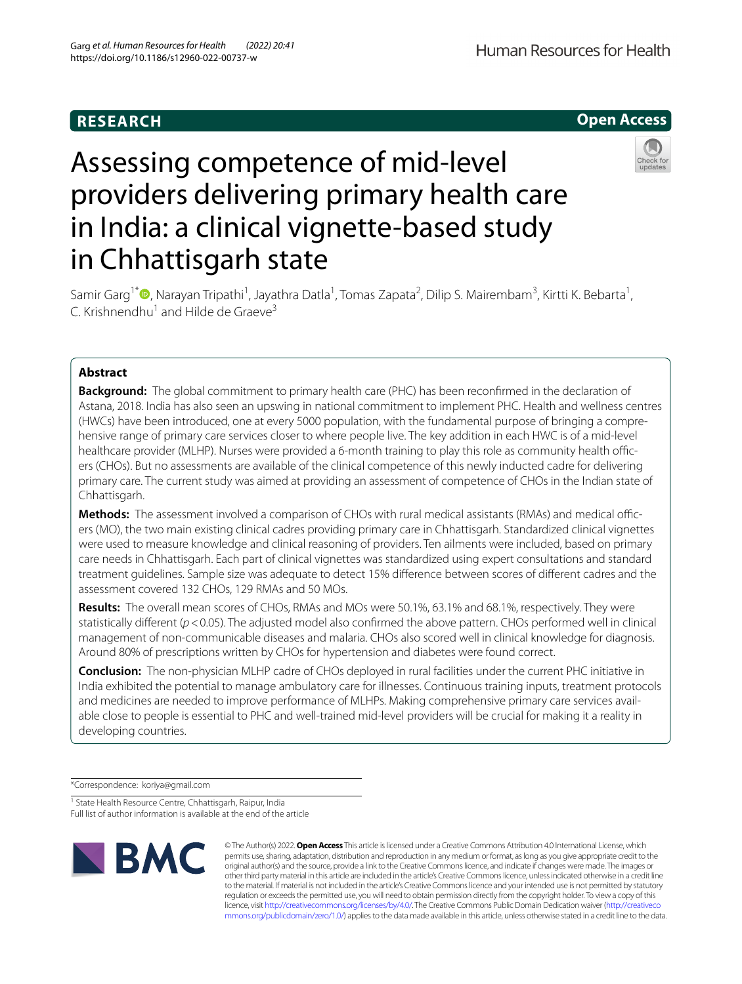## **RESEARCH**

Human Resources for Health

**Open Access**

# Assessing competence of mid-level providers delivering primary health care in India: a clinical vignette-based study in Chhattisgarh state



Samir Garg<sup>1\*</sup> <sup>(D</sup>[,](http://orcid.org/0000-0003-4915-0731) Narayan Tripathi<sup>1</sup>, Jayathra Datla<sup>1</sup>, Tomas Zapata<sup>2</sup>, Dilip S. Mairembam<sup>3</sup>, Kirtti K. Bebarta<sup>1</sup>, C. Krishnendhu<sup>1</sup> and Hilde de Graeve<sup>3</sup>

## **Abstract**

**Background:** The global commitment to primary health care (PHC) has been reconfrmed in the declaration of Astana, 2018. India has also seen an upswing in national commitment to implement PHC. Health and wellness centres (HWCs) have been introduced, one at every 5000 population, with the fundamental purpose of bringing a comprehensive range of primary care services closer to where people live. The key addition in each HWC is of a mid-level healthcare provider (MLHP). Nurses were provided a 6-month training to play this role as community health officers (CHOs). But no assessments are available of the clinical competence of this newly inducted cadre for delivering primary care. The current study was aimed at providing an assessment of competence of CHOs in the Indian state of Chhattisgarh.

**Methods:** The assessment involved a comparison of CHOs with rural medical assistants (RMAs) and medical officers (MO), the two main existing clinical cadres providing primary care in Chhattisgarh. Standardized clinical vignettes were used to measure knowledge and clinical reasoning of providers. Ten ailments were included, based on primary care needs in Chhattisgarh. Each part of clinical vignettes was standardized using expert consultations and standard treatment guidelines. Sample size was adequate to detect 15% diference between scores of diferent cadres and the assessment covered 132 CHOs, 129 RMAs and 50 MOs.

**Results:** The overall mean scores of CHOs, RMAs and MOs were 50.1%, 63.1% and 68.1%, respectively. They were statistically diferent (*p*<0.05). The adjusted model also confrmed the above pattern. CHOs performed well in clinical management of non-communicable diseases and malaria. CHOs also scored well in clinical knowledge for diagnosis. Around 80% of prescriptions written by CHOs for hypertension and diabetes were found correct.

**Conclusion:** The non-physician MLHP cadre of CHOs deployed in rural facilities under the current PHC initiative in India exhibited the potential to manage ambulatory care for illnesses. Continuous training inputs, treatment protocols and medicines are needed to improve performance of MLHPs. Making comprehensive primary care services available close to people is essential to PHC and well-trained mid-level providers will be crucial for making it a reality in developing countries.

\*Correspondence: koriya@gmail.com

<sup>1</sup> State Health Resource Centre, Chhattisgarh, Raipur, India Full list of author information is available at the end of the article



© The Author(s) 2022. **Open Access** This article is licensed under a Creative Commons Attribution 4.0 International License, which permits use, sharing, adaptation, distribution and reproduction in any medium or format, as long as you give appropriate credit to the original author(s) and the source, provide a link to the Creative Commons licence, and indicate if changes were made. The images or other third party material in this article are included in the article's Creative Commons licence, unless indicated otherwise in a credit line to the material. If material is not included in the article's Creative Commons licence and your intended use is not permitted by statutory regulation or exceeds the permitted use, you will need to obtain permission directly from the copyright holder. To view a copy of this licence, visit [http://creativecommons.org/licenses/by/4.0/.](http://creativecommons.org/licenses/by/4.0/) The Creative Commons Public Domain Dedication waiver ([http://creativeco](http://creativecommons.org/publicdomain/zero/1.0/) [mmons.org/publicdomain/zero/1.0/](http://creativecommons.org/publicdomain/zero/1.0/)) applies to the data made available in this article, unless otherwise stated in a credit line to the data.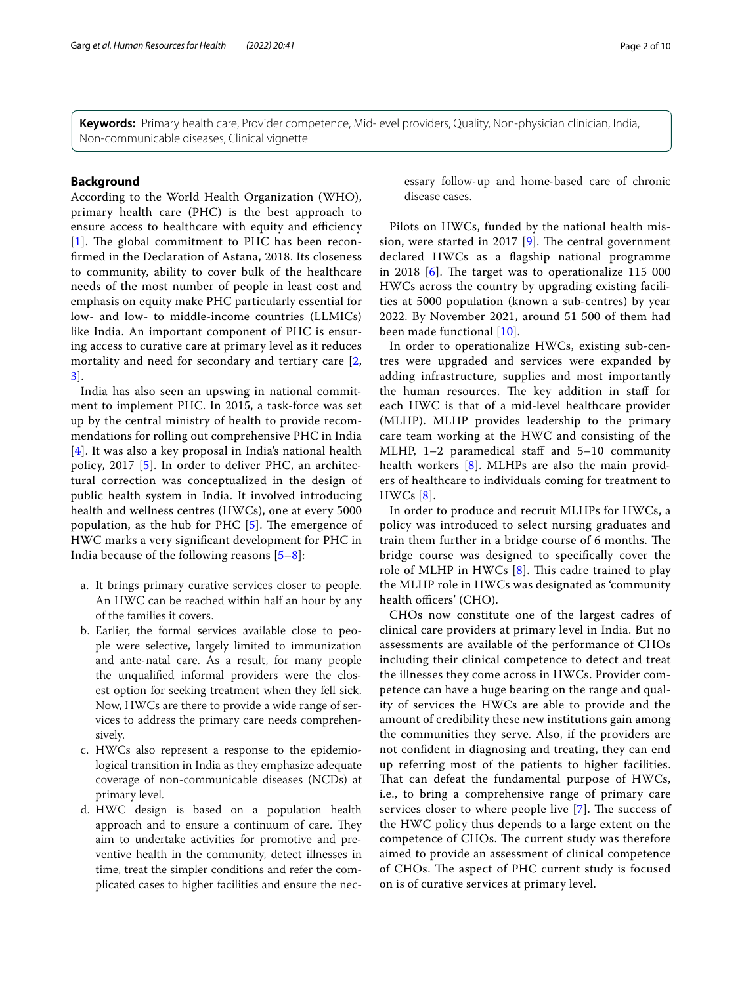**Keywords:** Primary health care, Provider competence, Mid-level providers, Quality, Non-physician clinician, India, Non-communicable diseases, Clinical vignette

## **Background**

According to the World Health Organization (WHO), primary health care (PHC) is the best approach to ensure access to healthcare with equity and efficiency  $[1]$  $[1]$  $[1]$ . The global commitment to PHC has been reconfrmed in the Declaration of Astana, 2018. Its closeness to community, ability to cover bulk of the healthcare needs of the most number of people in least cost and emphasis on equity make PHC particularly essential for low- and low- to middle-income countries (LLMICs) like India. An important component of PHC is ensuring access to curative care at primary level as it reduces mortality and need for secondary and tertiary care [\[2](#page-8-1), [3\]](#page-8-2).

India has also seen an upswing in national commitment to implement PHC. In 2015, a task-force was set up by the central ministry of health to provide recommendations for rolling out comprehensive PHC in India [[4](#page-8-3)]. It was also a key proposal in India's national health policy, 2017 [[5](#page-8-4)]. In order to deliver PHC, an architectural correction was conceptualized in the design of public health system in India. It involved introducing health and wellness centres (HWCs), one at every 5000 population, as the hub for PHC  $[5]$  $[5]$  $[5]$ . The emergence of HWC marks a very signifcant development for PHC in India because of the following reasons  $[5-8]$  $[5-8]$  $[5-8]$ :

- a. It brings primary curative services closer to people. An HWC can be reached within half an hour by any of the families it covers.
- b. Earlier, the formal services available close to people were selective, largely limited to immunization and ante-natal care. As a result, for many people the unqualifed informal providers were the closest option for seeking treatment when they fell sick. Now, HWCs are there to provide a wide range of services to address the primary care needs comprehensively.
- c. HWCs also represent a response to the epidemiological transition in India as they emphasize adequate coverage of non-communicable diseases (NCDs) at primary level.
- d. HWC design is based on a population health approach and to ensure a continuum of care. They aim to undertake activities for promotive and preventive health in the community, detect illnesses in time, treat the simpler conditions and refer the complicated cases to higher facilities and ensure the nec-

essary follow-up and home-based care of chronic disease cases.

Pilots on HWCs, funded by the national health mis-sion, were started in 2017 [\[9\]](#page-8-6). The central government declared HWCs as a fagship national programme in 2018  $[6]$  $[6]$ . The target was to operationalize 115 000 HWCs across the country by upgrading existing facilities at 5000 population (known a sub-centres) by year 2022. By November 2021, around 51 500 of them had been made functional [[10](#page-8-8)].

In order to operationalize HWCs, existing sub-centres were upgraded and services were expanded by adding infrastructure, supplies and most importantly the human resources. The key addition in staff for each HWC is that of a mid-level healthcare provider (MLHP). MLHP provides leadership to the primary care team working at the HWC and consisting of the MLHP, 1–2 paramedical staf and 5–10 community health workers [[8](#page-8-5)]. MLHPs are also the main providers of healthcare to individuals coming for treatment to  $HWCs [8]$  $HWCs [8]$  $HWCs [8]$ .

In order to produce and recruit MLHPs for HWCs, a policy was introduced to select nursing graduates and train them further in a bridge course of 6 months. The bridge course was designed to specifcally cover the role of MLHP in HWCs  $[8]$  $[8]$ . This cadre trained to play the MLHP role in HWCs was designated as 'community health officers' (CHO).

CHOs now constitute one of the largest cadres of clinical care providers at primary level in India. But no assessments are available of the performance of CHOs including their clinical competence to detect and treat the illnesses they come across in HWCs. Provider competence can have a huge bearing on the range and quality of services the HWCs are able to provide and the amount of credibility these new institutions gain among the communities they serve. Also, if the providers are not confdent in diagnosing and treating, they can end up referring most of the patients to higher facilities. That can defeat the fundamental purpose of HWCs, i.e., to bring a comprehensive range of primary care services closer to where people live  $[7]$  $[7]$ . The success of the HWC policy thus depends to a large extent on the competence of CHOs. The current study was therefore aimed to provide an assessment of clinical competence of CHOs. The aspect of PHC current study is focused on is of curative services at primary level.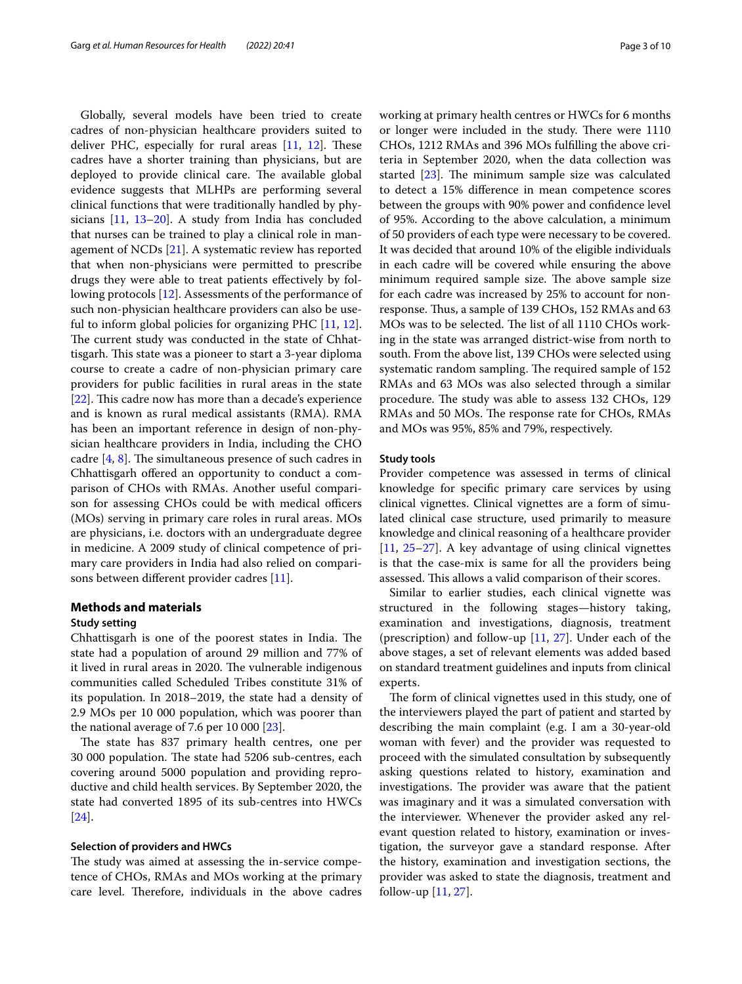Globally, several models have been tried to create cadres of non-physician healthcare providers suited to deliver PHC, especially for rural areas  $[11, 12]$  $[11, 12]$  $[11, 12]$ . These cadres have a shorter training than physicians, but are deployed to provide clinical care. The available global evidence suggests that MLHPs are performing several clinical functions that were traditionally handled by physicians [\[11](#page-8-10), [13](#page-8-12)[–20](#page-8-13)]. A study from India has concluded that nurses can be trained to play a clinical role in management of NCDs [\[21\]](#page-8-14). A systematic review has reported that when non-physicians were permitted to prescribe drugs they were able to treat patients efectively by following protocols [\[12](#page-8-11)]. Assessments of the performance of such non-physician healthcare providers can also be useful to inform global policies for organizing PHC [\[11](#page-8-10), [12](#page-8-11)]. The current study was conducted in the state of Chhattisgarh. This state was a pioneer to start a 3-year diploma course to create a cadre of non-physician primary care providers for public facilities in rural areas in the state [ $22$ ]. This cadre now has more than a decade's experience and is known as rural medical assistants (RMA). RMA has been an important reference in design of non-physician healthcare providers in India, including the CHO cadre  $[4, 8]$  $[4, 8]$  $[4, 8]$  $[4, 8]$ . The simultaneous presence of such cadres in Chhattisgarh ofered an opportunity to conduct a comparison of CHOs with RMAs. Another useful comparison for assessing CHOs could be with medical officers (MOs) serving in primary care roles in rural areas. MOs are physicians, i.e. doctors with an undergraduate degree in medicine. A 2009 study of clinical competence of primary care providers in India had also relied on comparisons between diferent provider cadres [\[11\]](#page-8-10).

## **Methods and materials**

#### **Study setting**

Chhattisgarh is one of the poorest states in India. The state had a population of around 29 million and 77% of it lived in rural areas in 2020. The vulnerable indigenous communities called Scheduled Tribes constitute 31% of its population. In 2018–2019, the state had a density of 2.9 MOs per 10 000 population, which was poorer than the national average of 7.6 per 10 000 [[23\]](#page-8-16).

The state has 837 primary health centres, one per 30 000 population. The state had 5206 sub-centres, each covering around 5000 population and providing reproductive and child health services. By September 2020, the state had converted 1895 of its sub-centres into HWCs [[24\]](#page-8-17).

## **Selection of providers and HWCs**

The study was aimed at assessing the in-service competence of CHOs, RMAs and MOs working at the primary care level. Therefore, individuals in the above cadres working at primary health centres or HWCs for 6 months or longer were included in the study. There were 1110 CHOs, 1212 RMAs and 396 MOs fulflling the above criteria in September 2020, when the data collection was started  $[23]$  $[23]$ . The minimum sample size was calculated to detect a 15% diference in mean competence scores between the groups with 90% power and confdence level of 95%. According to the above calculation, a minimum of 50 providers of each type were necessary to be covered. It was decided that around 10% of the eligible individuals in each cadre will be covered while ensuring the above minimum required sample size. The above sample size for each cadre was increased by 25% to account for nonresponse. Thus, a sample of 139 CHOs, 152 RMAs and 63 MOs was to be selected. The list of all 1110 CHOs working in the state was arranged district-wise from north to south. From the above list, 139 CHOs were selected using systematic random sampling. The required sample of 152 RMAs and 63 MOs was also selected through a similar procedure. The study was able to assess 132 CHOs, 129 RMAs and 50 MOs. The response rate for CHOs, RMAs and MOs was 95%, 85% and 79%, respectively.

## **Study tools**

Provider competence was assessed in terms of clinical knowledge for specifc primary care services by using clinical vignettes. Clinical vignettes are a form of simulated clinical case structure, used primarily to measure knowledge and clinical reasoning of a healthcare provider [[11,](#page-8-10) [25–](#page-8-18)[27](#page-8-19)]. A key advantage of using clinical vignettes is that the case-mix is same for all the providers being assessed. This allows a valid comparison of their scores.

Similar to earlier studies, each clinical vignette was structured in the following stages—history taking, examination and investigations, diagnosis, treatment (prescription) and follow-up [\[11,](#page-8-10) [27](#page-8-19)]. Under each of the above stages, a set of relevant elements was added based on standard treatment guidelines and inputs from clinical experts.

The form of clinical vignettes used in this study, one of the interviewers played the part of patient and started by describing the main complaint (e.g. I am a 30-year-old woman with fever) and the provider was requested to proceed with the simulated consultation by subsequently asking questions related to history, examination and investigations. The provider was aware that the patient was imaginary and it was a simulated conversation with the interviewer. Whenever the provider asked any relevant question related to history, examination or investigation, the surveyor gave a standard response. After the history, examination and investigation sections, the provider was asked to state the diagnosis, treatment and follow-up [[11,](#page-8-10) [27](#page-8-19)].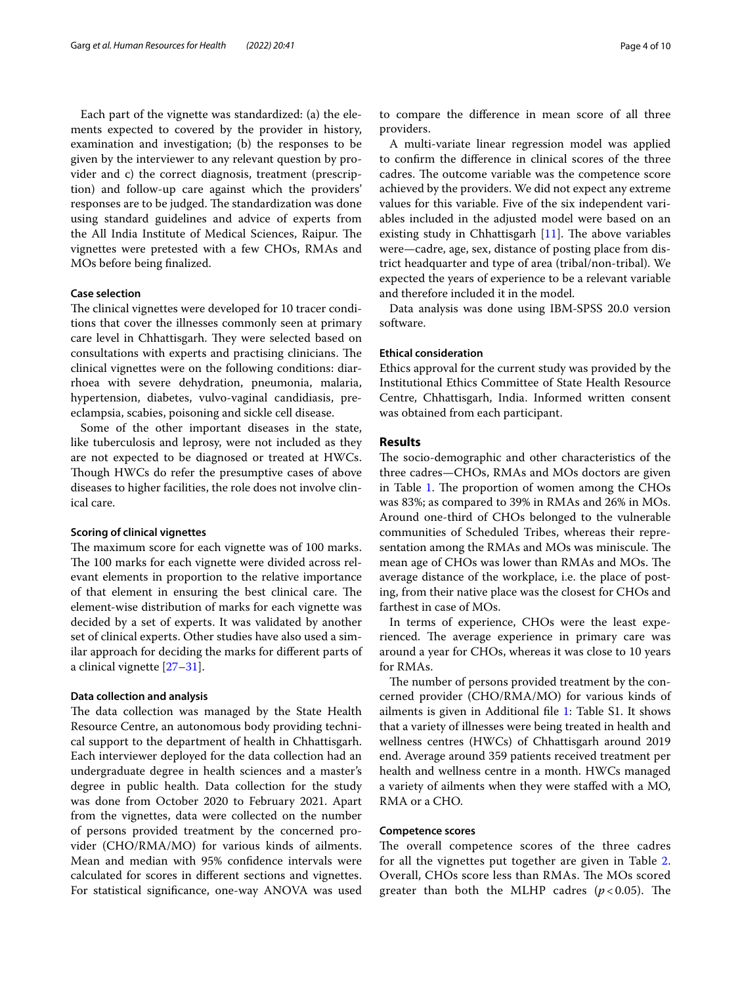Each part of the vignette was standardized: (a) the elements expected to covered by the provider in history, examination and investigation; (b) the responses to be given by the interviewer to any relevant question by provider and c) the correct diagnosis, treatment (prescription) and follow-up care against which the providers' responses are to be judged. The standardization was done using standard guidelines and advice of experts from the All India Institute of Medical Sciences, Raipur. The vignettes were pretested with a few CHOs, RMAs and MOs before being fnalized.

#### **Case selection**

The clinical vignettes were developed for 10 tracer conditions that cover the illnesses commonly seen at primary care level in Chhattisgarh. They were selected based on consultations with experts and practising clinicians. The clinical vignettes were on the following conditions: diarrhoea with severe dehydration, pneumonia, malaria, hypertension, diabetes, vulvo-vaginal candidiasis, preeclampsia, scabies, poisoning and sickle cell disease.

Some of the other important diseases in the state, like tuberculosis and leprosy, were not included as they are not expected to be diagnosed or treated at HWCs. Though HWCs do refer the presumptive cases of above diseases to higher facilities, the role does not involve clinical care.

#### **Scoring of clinical vignettes**

The maximum score for each vignette was of 100 marks. The 100 marks for each vignette were divided across relevant elements in proportion to the relative importance of that element in ensuring the best clinical care. The element-wise distribution of marks for each vignette was decided by a set of experts. It was validated by another set of clinical experts. Other studies have also used a similar approach for deciding the marks for diferent parts of a clinical vignette [\[27](#page-8-19)[–31\]](#page-8-20).

#### **Data collection and analysis**

The data collection was managed by the State Health Resource Centre, an autonomous body providing technical support to the department of health in Chhattisgarh. Each interviewer deployed for the data collection had an undergraduate degree in health sciences and a master's degree in public health. Data collection for the study was done from October 2020 to February 2021. Apart from the vignettes, data were collected on the number of persons provided treatment by the concerned provider (CHO/RMA/MO) for various kinds of ailments. Mean and median with 95% confdence intervals were calculated for scores in diferent sections and vignettes. For statistical signifcance, one-way ANOVA was used to compare the diference in mean score of all three providers.

A multi-variate linear regression model was applied to confrm the diference in clinical scores of the three cadres. The outcome variable was the competence score achieved by the providers. We did not expect any extreme values for this variable. Five of the six independent variables included in the adjusted model were based on an existing study in Chhattisgarh  $[11]$  $[11]$ . The above variables were—cadre, age, sex, distance of posting place from district headquarter and type of area (tribal/non-tribal). We expected the years of experience to be a relevant variable and therefore included it in the model.

Data analysis was done using IBM-SPSS 20.0 version software.

## **Ethical consideration**

Ethics approval for the current study was provided by the Institutional Ethics Committee of State Health Resource Centre, Chhattisgarh, India. Informed written consent was obtained from each participant.

#### **Results**

The socio-demographic and other characteristics of the three cadres—CHOs, RMAs and MOs doctors are given in Table [1.](#page-4-0) The proportion of women among the CHOs was 83%; as compared to 39% in RMAs and 26% in MOs. Around one-third of CHOs belonged to the vulnerable communities of Scheduled Tribes, whereas their representation among the RMAs and MOs was miniscule. The mean age of CHOs was lower than RMAs and MOs. The average distance of the workplace, i.e. the place of posting, from their native place was the closest for CHOs and farthest in case of MOs.

In terms of experience, CHOs were the least experienced. The average experience in primary care was around a year for CHOs, whereas it was close to 10 years for RMAs.

The number of persons provided treatment by the concerned provider (CHO/RMA/MO) for various kinds of ailments is given in Additional fle [1](#page-7-0): Table S1. It shows that a variety of illnesses were being treated in health and wellness centres (HWCs) of Chhattisgarh around 2019 end. Average around 359 patients received treatment per health and wellness centre in a month. HWCs managed a variety of ailments when they were stafed with a MO, RMA or a CHO.

## **Competence scores**

The overall competence scores of the three cadres for all the vignettes put together are given in Table [2](#page-4-1). Overall, CHOs score less than RMAs. The MOs scored greater than both the MLHP cadres  $(p<0.05)$ . The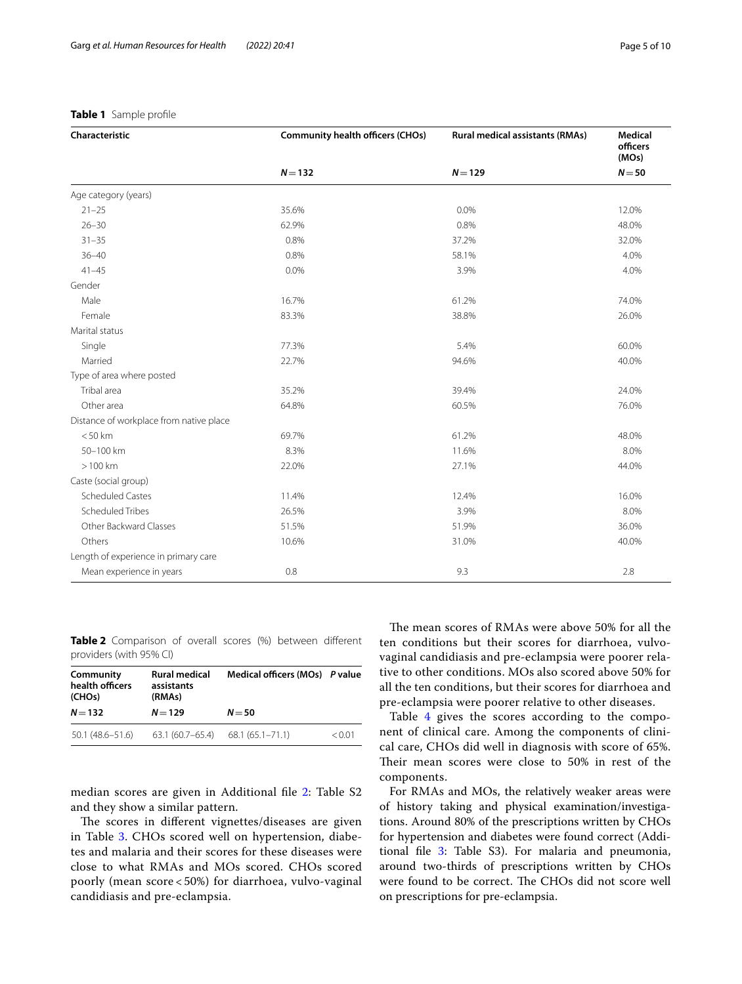| Characteristic                          | <b>Community health officers (CHOs)</b> | <b>Rural medical assistants (RMAs)</b> | <b>Medical</b><br>officers<br>(MOs)<br>$N = 50$ |  |
|-----------------------------------------|-----------------------------------------|----------------------------------------|-------------------------------------------------|--|
|                                         | $N = 132$                               | $N = 129$                              |                                                 |  |
| Age category (years)                    |                                         |                                        |                                                 |  |
| $21 - 25$                               | 35.6%                                   | 0.0%                                   | 12.0%                                           |  |
| $26 - 30$                               | 62.9%                                   | 0.8%                                   | 48.0%                                           |  |
| $31 - 35$                               | 0.8%                                    | 37.2%                                  | 32.0%                                           |  |
| $36 - 40$                               | 0.8%                                    | 58.1%                                  | 4.0%                                            |  |
| $41 - 45$                               | 0.0%                                    | 3.9%                                   | 4.0%                                            |  |
| Gender                                  |                                         |                                        |                                                 |  |
| Male                                    | 16.7%                                   | 61.2%                                  | 74.0%                                           |  |
| Female                                  | 83.3%                                   | 38.8%                                  | 26.0%                                           |  |
| Marital status                          |                                         |                                        |                                                 |  |
| Single                                  | 77.3%                                   | 5.4%                                   | 60.0%                                           |  |
| Married                                 | 22.7%                                   | 94.6%                                  | 40.0%                                           |  |
| Type of area where posted               |                                         |                                        |                                                 |  |
| Tribal area                             | 35.2%                                   | 39.4%                                  | 24.0%                                           |  |
| Other area                              | 64.8%                                   | 60.5%                                  | 76.0%                                           |  |
| Distance of workplace from native place |                                         |                                        |                                                 |  |
| < 50 km                                 | 69.7%                                   | 61.2%                                  | 48.0%                                           |  |
| 50-100 km                               | 8.3%                                    | 11.6%                                  | 8.0%                                            |  |
| $>100$ km                               | 22.0%                                   | 27.1%                                  | 44.0%                                           |  |
| Caste (social group)                    |                                         |                                        |                                                 |  |
| <b>Scheduled Castes</b>                 | 11.4%                                   | 12.4%                                  | 16.0%                                           |  |
| Scheduled Tribes                        | 26.5%                                   | 3.9%                                   | 8.0%                                            |  |
| Other Backward Classes                  | 51.5%                                   | 51.9%                                  | 36.0%                                           |  |
| Others                                  | 10.6%                                   | 31.0%                                  | 40.0%                                           |  |
| Length of experience in primary care    |                                         |                                        |                                                 |  |
| Mean experience in years                | 0.8                                     | 9.3                                    | 2.8                                             |  |

## <span id="page-4-0"></span>**Table 1** Sample profle

<span id="page-4-1"></span>**Table 2** Comparison of overall scores (%) between diferent providers (with 95% CI)

| <b>Rural medical</b><br>Community<br>health officers<br>assistants<br>(RMAs)<br>(CHOs) |                   | Medical officers (MOs) P value |        |
|----------------------------------------------------------------------------------------|-------------------|--------------------------------|--------|
| $N = 132$                                                                              | $N = 129$         | $N = 50$                       |        |
| $50.1(48.6 - 51.6)$                                                                    | $63.1(60.7-65.4)$ | $68.1(65.1 - 71.1)$            | < 0.01 |

median scores are given in Additional fle [2:](#page-7-1) Table S2 and they show a similar pattern.

The scores in different vignettes/diseases are given in Table [3](#page-5-0). CHOs scored well on hypertension, diabetes and malaria and their scores for these diseases were close to what RMAs and MOs scored. CHOs scored poorly (mean score < 50%) for diarrhoea, vulvo-vaginal candidiasis and pre-eclampsia.

The mean scores of RMAs were above 50% for all the ten conditions but their scores for diarrhoea, vulvovaginal candidiasis and pre-eclampsia were poorer relative to other conditions. MOs also scored above 50% for all the ten conditions, but their scores for diarrhoea and pre-eclampsia were poorer relative to other diseases.

Table [4](#page-5-1) gives the scores according to the component of clinical care. Among the components of clinical care, CHOs did well in diagnosis with score of 65%. Their mean scores were close to 50% in rest of the components.

For RMAs and MOs, the relatively weaker areas were of history taking and physical examination/investigations. Around 80% of the prescriptions written by CHOs for hypertension and diabetes were found correct (Additional fle [3:](#page-7-2) Table S3). For malaria and pneumonia, around two-thirds of prescriptions written by CHOs were found to be correct. The CHOs did not score well on prescriptions for pre-eclampsia.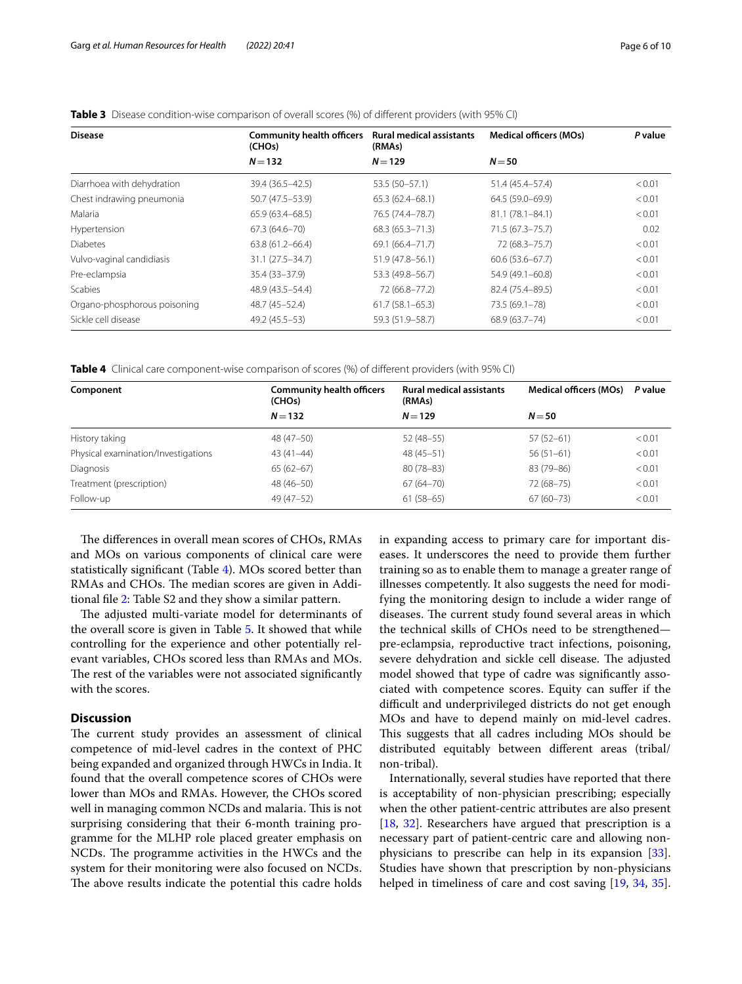| <b>Disease</b>               | <b>Community health officers</b><br>(CHOs) | <b>Rural medical assistants</b><br>(RMAs) | <b>Medical officers (MOs)</b> | P value |
|------------------------------|--------------------------------------------|-------------------------------------------|-------------------------------|---------|
|                              | $N = 132$                                  | $N = 129$                                 | $N = 50$                      |         |
| Diarrhoea with dehydration   | 39.4 (36.5 - 42.5)                         | 53.5 (50-57.1)                            | 51.4 (45.4–57.4)              | < 0.01  |
| Chest indrawing pneumonia    | 50.7 (47.5-53.9)                           | $65.3(62.4 - 68.1)$                       | 64.5 (59.0-69.9)              | < 0.01  |
| Malaria                      | $65.9(63.4 - 68.5)$                        | 76.5 (74.4–78.7)                          | 81.1 (78.1-84.1)              | < 0.01  |
| Hypertension                 | $67.3(64.6 - 70)$                          | $68.3(65.3 - 71.3)$                       | 71.5 (67.3–75.7)              | 0.02    |
| <b>Diabetes</b>              | $63.8(61.2 - 66.4)$                        | $69.1(66.4 - 71.7)$                       | 72 (68.3 - 75.7)              | < 0.01  |
| Vulvo-vaginal candidiasis    | $31.1(27.5 - 34.7)$                        | 51.9 (47.8–56.1)                          | $60.6(53.6 - 67.7)$           | < 0.01  |
| Pre-eclampsia                | 35.4 (33-37.9)                             | 53.3 (49.8-56.7)                          | 54.9 (49.1-60.8)              | < 0.01  |
| <b>Scabies</b>               | 48.9 (43.5 - 54.4)                         | 72 (66.8-77.2)                            | 82.4 (75.4-89.5)              | < 0.01  |
| Organo-phosphorous poisoning | 48.7 (45-52.4)                             | $61.7(58.1 - 65.3)$                       | 73.5 (69.1-78)                | < 0.01  |
| Sickle cell disease          | 49.2 (45.5 - 53)                           | 59.3 (51.9 - 58.7)                        | 68.9 (63.7-74)                | < 0.01  |

## <span id="page-5-0"></span>**Table 3** Disease condition-wise comparison of overall scores (%) of diferent providers (with 95% CI)

<span id="page-5-1"></span>**Table 4** Clinical care component-wise comparison of scores (%) of diferent providers (with 95% CI)

| Component                           | <b>Community health officers</b><br>(CHO <sub>s</sub> ) | <b>Rural medical assistants</b><br>(RMAs) | Medical officers (MOs) | P value |
|-------------------------------------|---------------------------------------------------------|-------------------------------------------|------------------------|---------|
|                                     | $N = 132$                                               | $N = 129$                                 | $N = 50$               |         |
| History taking                      | 48 (47 - 50)                                            | $52(48-55)$                               | $57(52 - 61)$          | < 0.01  |
| Physical examination/Investigations | $43(41-44)$                                             | $48(45-51)$                               | $56(51-61)$            | < 0.01  |
| Diagnosis                           | $65(62-67)$                                             | $80(78 - 83)$                             | 83 (79-86)             | < 0.01  |
| Treatment (prescription)            | 48 (46-50)                                              | $67(64 - 70)$                             | 72 (68-75)             | < 0.01  |
| Follow-up                           | 49 (47 - 52)                                            | $61(58-65)$                               | $67(60 - 73)$          | < 0.01  |

The differences in overall mean scores of CHOs, RMAs and MOs on various components of clinical care were statistically signifcant (Table [4\)](#page-5-1). MOs scored better than RMAs and CHOs. The median scores are given in Additional fle [2](#page-7-1): Table S2 and they show a similar pattern.

The adjusted multi-variate model for determinants of the overall score is given in Table [5.](#page-6-0) It showed that while controlling for the experience and other potentially relevant variables, CHOs scored less than RMAs and MOs. The rest of the variables were not associated significantly with the scores.

## **Discussion**

The current study provides an assessment of clinical competence of mid-level cadres in the context of PHC being expanded and organized through HWCs in India. It found that the overall competence scores of CHOs were lower than MOs and RMAs. However, the CHOs scored well in managing common NCDs and malaria. This is not surprising considering that their 6-month training programme for the MLHP role placed greater emphasis on NCDs. The programme activities in the HWCs and the system for their monitoring were also focused on NCDs. The above results indicate the potential this cadre holds in expanding access to primary care for important diseases. It underscores the need to provide them further training so as to enable them to manage a greater range of illnesses competently. It also suggests the need for modifying the monitoring design to include a wider range of diseases. The current study found several areas in which the technical skills of CHOs need to be strengthened pre-eclampsia, reproductive tract infections, poisoning, severe dehydration and sickle cell disease. The adjusted model showed that type of cadre was signifcantly associated with competence scores. Equity can sufer if the difficult and underprivileged districts do not get enough MOs and have to depend mainly on mid-level cadres. This suggests that all cadres including MOs should be distributed equitably between diferent areas (tribal/ non-tribal).

Internationally, several studies have reported that there is acceptability of non-physician prescribing; especially when the other patient-centric attributes are also present [[18,](#page-8-21) [32\]](#page-8-22). Researchers have argued that prescription is a necessary part of patient-centric care and allowing nonphysicians to prescribe can help in its expansion [\[33](#page-8-23)]. Studies have shown that prescription by non-physicians helped in timeliness of care and cost saving [[19,](#page-8-24) [34,](#page-8-25) [35](#page-8-26)].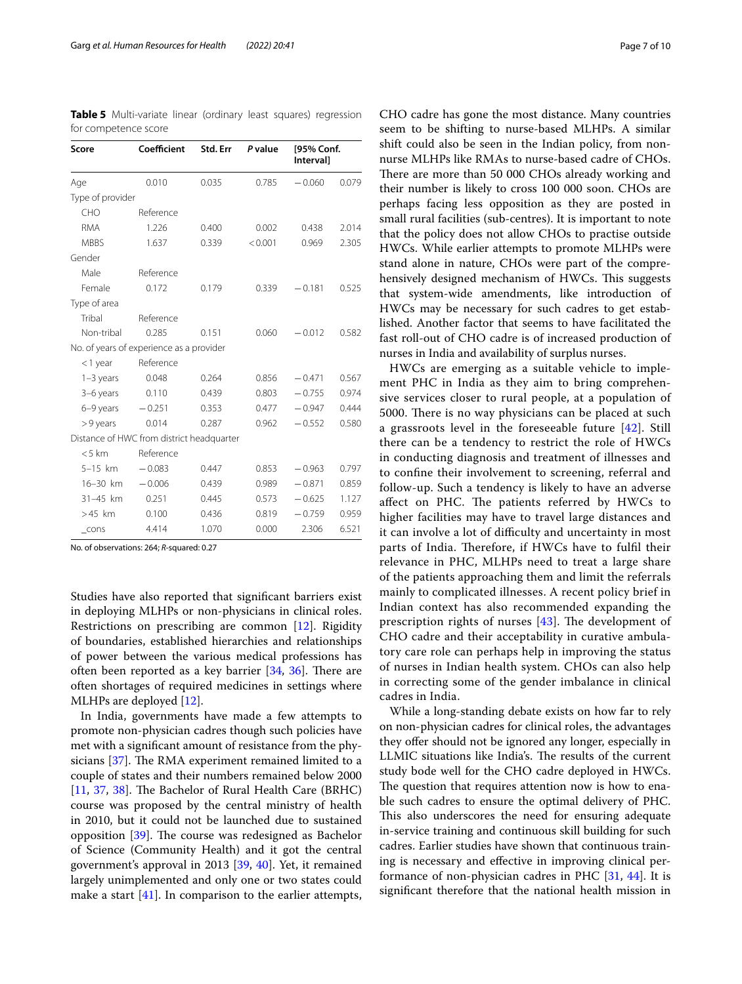| Score            | Coefficient                               | Std. Err | P value | [95% Conf.<br>Interval] |       |
|------------------|-------------------------------------------|----------|---------|-------------------------|-------|
| Age              | 0.010                                     | 0.035    | 0.785   | $-0.060$                | 0.079 |
| Type of provider |                                           |          |         |                         |       |
| CHO              | Reference                                 |          |         |                         |       |
| <b>RMA</b>       | 1.226                                     | 0.400    | 0.002   | 0.438                   | 2.014 |
| <b>MBBS</b>      | 1.637                                     | 0.339    | < 0.001 | 0.969                   | 2.305 |
| Gender           |                                           |          |         |                         |       |
| Male             | Reference                                 |          |         |                         |       |
| Female           | 0.172                                     | 0.179    | 0.339   | $-0.181$                | 0.525 |
| Type of area     |                                           |          |         |                         |       |
| Tribal           | Reference                                 |          |         |                         |       |
| Non-tribal       | 0.285                                     | 0.151    | 0.060   | $-0.012$                | 0.582 |
|                  | No. of years of experience as a provider  |          |         |                         |       |
| <1 year          | Reference                                 |          |         |                         |       |
| $1-3$ years      | 0.048                                     | 0.264    | 0.856   | $-0.471$                | 0.567 |
| 3-6 years        | 0.110                                     | 0.439    | 0.803   | $-0.755$                | 0.974 |
| 6-9 years        | $-0.251$                                  | 0.353    | 0.477   | $-0.947$                | 0.444 |
| $> 9$ years      | 0.014                                     | 0.287    | 0.962   | $-0.552$                | 0.580 |
|                  | Distance of HWC from district headquarter |          |         |                         |       |
| < 5 km           | Reference                                 |          |         |                         |       |
| $5-15$ km        | $-0.083$                                  | 0.447    | 0.853   | $-0.963$                | 0.797 |
| 16-30 km         | $-0.006$                                  | 0.439    | 0.989   | $-0.871$                | 0.859 |
| 31-45 km         | 0.251                                     | 0.445    | 0.573   | $-0.625$                | 1.127 |
| $>45$ km         | 0.100                                     | 0.436    | 0.819   | $-0.759$                | 0.959 |
| $_{\text{cons}}$ | 4.414                                     | 1.070    | 0.000   | 2.306                   | 6.521 |

<span id="page-6-0"></span>**Table 5** Multi-variate linear (ordinary least squares) regression for competence score

No. of observations: 264; *R*-squared: 0.27

Studies have also reported that signifcant barriers exist in deploying MLHPs or non-physicians in clinical roles. Restrictions on prescribing are common [[12](#page-8-11)]. Rigidity of boundaries, established hierarchies and relationships of power between the various medical professions has often been reported as a key barrier  $[34, 36]$  $[34, 36]$  $[34, 36]$ . There are often shortages of required medicines in settings where MLHPs are deployed [\[12\]](#page-8-11).

In India, governments have made a few attempts to promote non-physician cadres though such policies have met with a signifcant amount of resistance from the physicians  $[37]$ . The RMA experiment remained limited to a couple of states and their numbers remained below 2000 [[11,](#page-8-10) [37](#page-8-28), [38](#page-8-29)]. The Bachelor of Rural Health Care (BRHC) course was proposed by the central ministry of health in 2010, but it could not be launched due to sustained opposition  $[39]$  $[39]$ . The course was redesigned as Bachelor of Science (Community Health) and it got the central government's approval in 2013 [\[39](#page-8-30), [40\]](#page-8-31). Yet, it remained largely unimplemented and only one or two states could make a start  $[41]$ . In comparison to the earlier attempts,

CHO cadre has gone the most distance. Many countries seem to be shifting to nurse-based MLHPs. A similar shift could also be seen in the Indian policy, from nonnurse MLHPs like RMAs to nurse-based cadre of CHOs. There are more than 50 000 CHOs already working and their number is likely to cross 100 000 soon. CHOs are perhaps facing less opposition as they are posted in small rural facilities (sub-centres). It is important to note that the policy does not allow CHOs to practise outside HWCs. While earlier attempts to promote MLHPs were stand alone in nature, CHOs were part of the comprehensively designed mechanism of HWCs. This suggests that system-wide amendments, like introduction of HWCs may be necessary for such cadres to get established. Another factor that seems to have facilitated the fast roll-out of CHO cadre is of increased production of nurses in India and availability of surplus nurses.

HWCs are emerging as a suitable vehicle to implement PHC in India as they aim to bring comprehensive services closer to rural people, at a population of 5000. There is no way physicians can be placed at such a grassroots level in the foreseeable future [[42\]](#page-9-1). Still there can be a tendency to restrict the role of HWCs in conducting diagnosis and treatment of illnesses and to confne their involvement to screening, referral and follow-up. Such a tendency is likely to have an adverse affect on PHC. The patients referred by HWCs to higher facilities may have to travel large distances and it can involve a lot of difficulty and uncertainty in most parts of India. Therefore, if HWCs have to fulfil their relevance in PHC, MLHPs need to treat a large share of the patients approaching them and limit the referrals mainly to complicated illnesses. A recent policy brief in Indian context has also recommended expanding the prescription rights of nurses  $[43]$  $[43]$ . The development of CHO cadre and their acceptability in curative ambulatory care role can perhaps help in improving the status of nurses in Indian health system. CHOs can also help in correcting some of the gender imbalance in clinical cadres in India.

While a long-standing debate exists on how far to rely on non-physician cadres for clinical roles, the advantages they offer should not be ignored any longer, especially in LLMIC situations like India's. The results of the current study bode well for the CHO cadre deployed in HWCs. The question that requires attention now is how to enable such cadres to ensure the optimal delivery of PHC. This also underscores the need for ensuring adequate in-service training and continuous skill building for such cadres. Earlier studies have shown that continuous training is necessary and efective in improving clinical performance of non-physician cadres in PHC [\[31,](#page-8-20) [44](#page-9-3)]. It is signifcant therefore that the national health mission in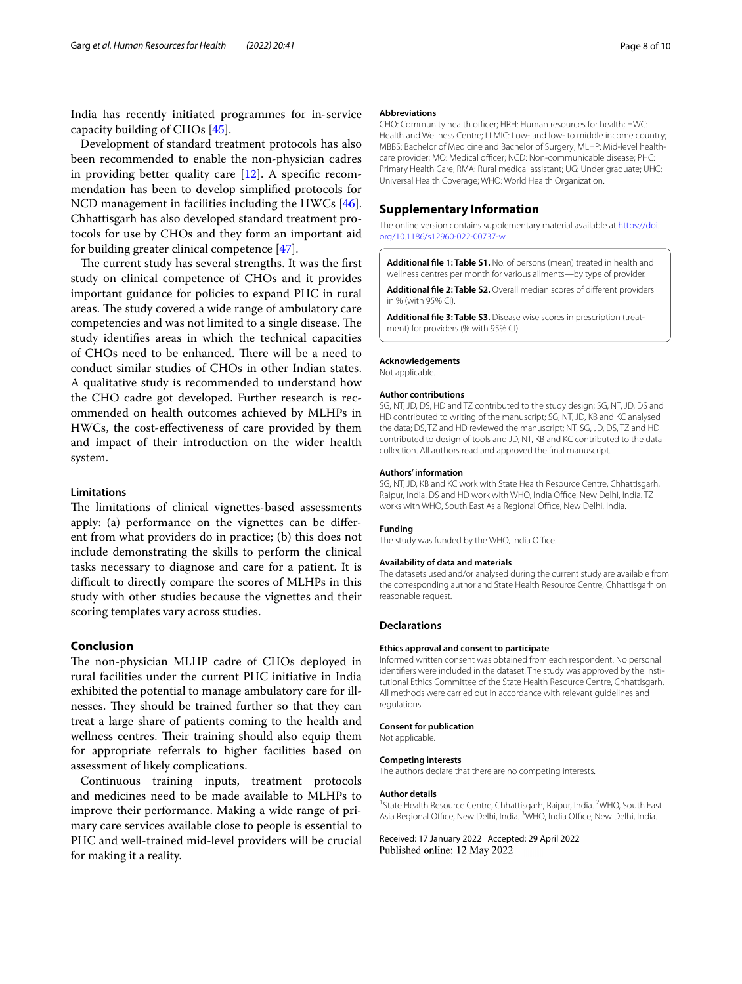India has recently initiated programmes for in-service capacity building of CHOs [\[45](#page-9-4)].

Development of standard treatment protocols has also been recommended to enable the non-physician cadres in providing better quality care [\[12](#page-8-11)]. A specifc recommendation has been to develop simplifed protocols for NCD management in facilities including the HWCs [\[46](#page-9-5)]. Chhattisgarh has also developed standard treatment protocols for use by CHOs and they form an important aid for building greater clinical competence [\[47](#page-9-6)].

The current study has several strengths. It was the first study on clinical competence of CHOs and it provides important guidance for policies to expand PHC in rural areas. The study covered a wide range of ambulatory care competencies and was not limited to a single disease. The study identifes areas in which the technical capacities of CHOs need to be enhanced. There will be a need to conduct similar studies of CHOs in other Indian states. A qualitative study is recommended to understand how the CHO cadre got developed. Further research is recommended on health outcomes achieved by MLHPs in HWCs, the cost-efectiveness of care provided by them and impact of their introduction on the wider health system.

### **Limitations**

The limitations of clinical vignettes-based assessments apply: (a) performance on the vignettes can be diferent from what providers do in practice; (b) this does not include demonstrating the skills to perform the clinical tasks necessary to diagnose and care for a patient. It is difficult to directly compare the scores of MLHPs in this study with other studies because the vignettes and their scoring templates vary across studies.

## **Conclusion**

The non-physician MLHP cadre of CHOs deployed in rural facilities under the current PHC initiative in India exhibited the potential to manage ambulatory care for illnesses. They should be trained further so that they can treat a large share of patients coming to the health and wellness centres. Their training should also equip them for appropriate referrals to higher facilities based on assessment of likely complications.

Continuous training inputs, treatment protocols and medicines need to be made available to MLHPs to improve their performance. Making a wide range of primary care services available close to people is essential to PHC and well-trained mid-level providers will be crucial for making it a reality.

#### **Abbreviations**

CHO: Community health officer; HRH: Human resources for health; HWC: Health and Wellness Centre; LLMIC: Low- and low- to middle income country; MBBS: Bachelor of Medicine and Bachelor of Surgery; MLHP: Mid-level healthcare provider: MO: Medical officer: NCD: Non-communicable disease: PHC: Primary Health Care; RMA: Rural medical assistant; UG: Under graduate; UHC: Universal Health Coverage; WHO: World Health Organization.

## **Supplementary Information**

The online version contains supplementary material available at [https://doi.](https://doi.org/10.1186/s12960-022-00737-w) [org/10.1186/s12960-022-00737-w.](https://doi.org/10.1186/s12960-022-00737-w)

<span id="page-7-1"></span><span id="page-7-0"></span>**Additional fle 1: Table S1.** No. of persons (mean) treated in health and wellness centres per month for various ailments—by type of provider.

<span id="page-7-2"></span>**Additional fle 2: Table S2.** Overall median scores of diferent providers in % (with 95% CI).

**Additional fle 3: Table S3.** Disease wise scores in prescription (treatment) for providers (% with 95% CI).

#### **Acknowledgements**

Not applicable.

#### **Author contributions**

SG, NT, JD, DS, HD and TZ contributed to the study design; SG, NT, JD, DS and HD contributed to writing of the manuscript; SG, NT, JD, KB and KC analysed the data; DS, TZ and HD reviewed the manuscript; NT, SG, JD, DS, TZ and HD contributed to design of tools and JD, NT, KB and KC contributed to the data collection. All authors read and approved the fnal manuscript.

#### **Authors' information**

SG, NT, JD, KB and KC work with State Health Resource Centre, Chhattisgarh, Raipur, India. DS and HD work with WHO, India Office, New Delhi, India. TZ works with WHO, South East Asia Regional Office, New Delhi, India.

#### **Funding**

The study was funded by the WHO, India Office.

#### **Availability of data and materials**

The datasets used and/or analysed during the current study are available from the corresponding author and State Health Resource Centre, Chhattisgarh on reasonable request.

#### **Declarations**

#### **Ethics approval and consent to participate**

Informed written consent was obtained from each respondent. No personal identifers were included in the dataset. The study was approved by the Institutional Ethics Committee of the State Health Resource Centre, Chhattisgarh. All methods were carried out in accordance with relevant guidelines and regulations.

#### **Consent for publication**

Not applicable.

#### **Competing interests**

The authors declare that there are no competing interests.

#### **Author details**

<sup>1</sup> State Health Resource Centre, Chhattisgarh, Raipur, India. <sup>2</sup>WHO, South East Asia Regional Office, New Delhi, India. <sup>3</sup>WHO, India Office, New Delhi, India.

Received: 17 January 2022 Accepted: 29 April 2022Published online: 12 May 2022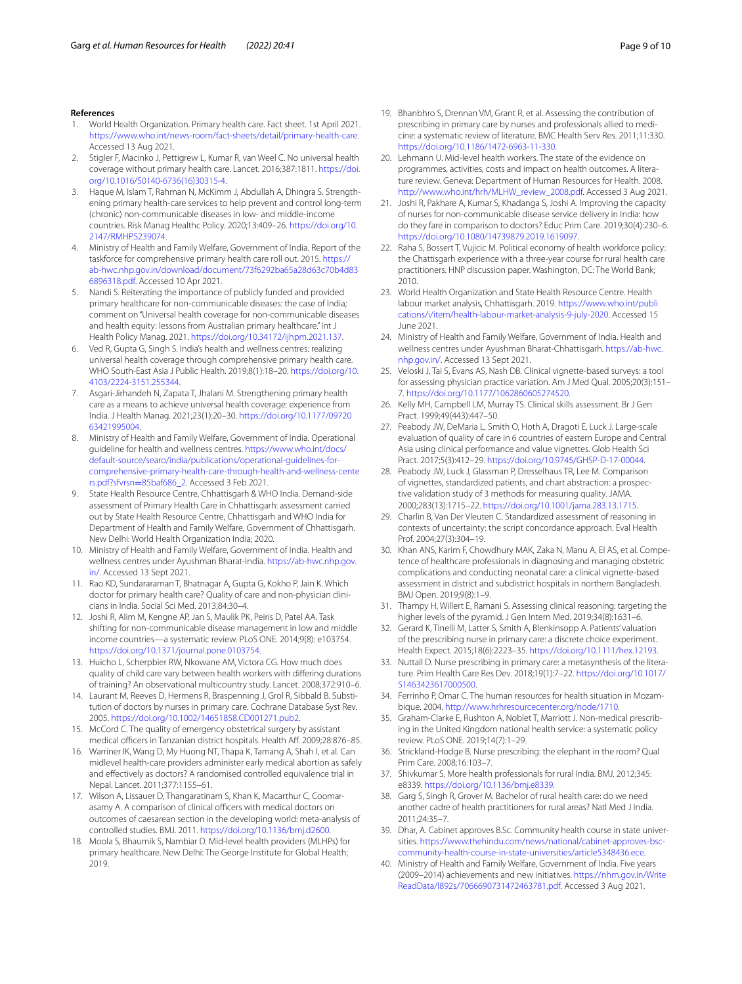#### **References**

- <span id="page-8-0"></span>1. World Health Organization. Primary health care. Fact sheet. 1st April 2021. <https://www.who.int/news-room/fact-sheets/detail/primary-health-care>. Accessed 13 Aug 2021.
- <span id="page-8-1"></span>2. Stigler F, Macinko J, Pettigrew L, Kumar R, van Weel C. No universal health coverage without primary health care. Lancet. 2016;387:1811. [https://doi.](https://doi.org/10.1016/S0140-6736(16)30315-4) [org/10.1016/S0140-6736\(16\)30315-4.](https://doi.org/10.1016/S0140-6736(16)30315-4)
- <span id="page-8-2"></span>3. Haque M, Islam T, Rahman N, McKimm J, Abdullah A, Dhingra S. Strengthening primary health-care services to help prevent and control long-term (chronic) non-communicable diseases in low- and middle-income countries. Risk Manag Healthc Policy. 2020;13:409–26. [https://doi.org/10.](https://doi.org/10.2147/RMHP.S239074) [2147/RMHP.S239074.](https://doi.org/10.2147/RMHP.S239074)
- <span id="page-8-3"></span>4. Ministry of Health and Family Welfare, Government of India. Report of the taskforce for comprehensive primary health care roll out. 2015. [https://](https://ab-hwc.nhp.gov.in/download/document/73f6292ba65a28d63c70b4d836896318.pdf) [ab-hwc.nhp.gov.in/download/document/73f6292ba65a28d63c70b4d83](https://ab-hwc.nhp.gov.in/download/document/73f6292ba65a28d63c70b4d836896318.pdf) [6896318.pdf.](https://ab-hwc.nhp.gov.in/download/document/73f6292ba65a28d63c70b4d836896318.pdf) Accessed 10 Apr 2021.
- <span id="page-8-4"></span>5. Nandi S. Reiterating the importance of publicly funded and provided primary healthcare for non-communicable diseases: the case of India; comment on "Universal health coverage for non-communicable diseases and health equity: lessons from Australian primary healthcare." Int J Health Policy Manag. 2021. [https://doi.org/10.34172/ijhpm.2021.137.](https://doi.org/10.34172/ijhpm.2021.137)
- <span id="page-8-7"></span>6. Ved R, Gupta G, Singh S. India's health and wellness centres: realizing universal health coverage through comprehensive primary health care. WHO South-East Asia J Public Health. 2019;8(1):18–20. [https://doi.org/10.](https://doi.org/10.4103/2224-3151.255344) [4103/2224-3151.255344.](https://doi.org/10.4103/2224-3151.255344)
- <span id="page-8-9"></span>7. Asgari-Jirhandeh N, Zapata T, Jhalani M. Strengthening primary health care as a means to achieve universal health coverage: experience from India. J Health Manag. 2021;23(1):20–30. [https://doi.org/10.1177/09720](https://doi.org/10.1177/0972063421995004) [63421995004.](https://doi.org/10.1177/0972063421995004)
- <span id="page-8-5"></span>8. Ministry of Health and Family Welfare, Government of India. Operational guideline for health and wellness centres. [https://www.who.int/docs/](https://www.who.int/docs/default-source/searo/india/publications/operational-guidelines-for-comprehensive-primary-health-care-through-health-and-wellness-centers.pdf?sfvrsn=85baf686_2) [default-source/searo/india/publications/operational-guidelines-for](https://www.who.int/docs/default-source/searo/india/publications/operational-guidelines-for-comprehensive-primary-health-care-through-health-and-wellness-centers.pdf?sfvrsn=85baf686_2)[comprehensive-primary-health-care-through-health-and-wellness-cente](https://www.who.int/docs/default-source/searo/india/publications/operational-guidelines-for-comprehensive-primary-health-care-through-health-and-wellness-centers.pdf?sfvrsn=85baf686_2) rs.pdf?sfvrsn=85baf686\_2. Accessed 3 Feb 2021.
- <span id="page-8-6"></span>9. [State Health Resource Cen](https://www.who.int/docs/default-source/searo/india/publications/operational-guidelines-for-comprehensive-primary-health-care-through-health-and-wellness-centers.pdf?sfvrsn=85baf686_2)tre, Chhattisgarh & WHO India. Demand-side assessment of Primary Health Care in Chhattisgarh: assessment carried out by State Health Resource Centre, Chhattisgarh and WHO India for Department of Health and Family Welfare, Government of Chhattisgarh. New Delhi: World Health Organization India; 2020.
- <span id="page-8-8"></span>10. Ministry of Health and Family Welfare, Government of India. Health and wellness centres under Ayushman Bharat-India. [https://ab-hwc.nhp.gov.](https://ab-hwc.nhp.gov.in/) [in/.](https://ab-hwc.nhp.gov.in/) Accessed 13 Sept 2021.
- <span id="page-8-10"></span>11. Rao KD, Sundararaman T, Bhatnagar A, Gupta G, Kokho P, Jain K. Which doctor for primary health care? Quality of care and non-physician clinicians in India. Social Sci Med. 2013;84:30–4.
- <span id="page-8-11"></span>12. Joshi R, Alim M, Kengne AP, Jan S, Maulik PK, Peiris D, Patel AA. Task shifting for non-communicable disease management in low and middle income countries—a systematic review. PLoS ONE. 2014;9(8): e103754. <https://doi.org/10.1371/journal.pone.0103754>.
- <span id="page-8-12"></span>13. Huicho L, Scherpbier RW, Nkowane AM, Victora CG. How much does quality of child care vary between health workers with difering durations of training? An observational multicountry study. Lancet. 2008;372:910–6.
- 14. Laurant M, Reeves D, Hermens R, Braspenning J, Grol R, Sibbald B. Substitution of doctors by nurses in primary care. Cochrane Database Syst Rev. 2005.<https://doi.org/10.1002/14651858.CD001271.pub2>.
- 15. McCord C. The quality of emergency obstetrical surgery by assistant medical officers in Tanzanian district hospitals. Health Aff. 2009;28:876-85.
- 16. Warriner IK, Wang D, My Huong NT, Thapa K, Tamang A, Shah I, et al. Can midlevel health-care providers administer early medical abortion as safely and efectively as doctors? A randomised controlled equivalence trial in Nepal. Lancet. 2011;377:1155–61.
- 17. Wilson A, Lissauer D, Thangaratinam S, Khan K, Macarthur C, Coomarasamy A. A comparison of clinical officers with medical doctors on outcomes of caesarean section in the developing world: meta-analysis of controlled studies. BMJ. 2011. <https://doi.org/10.1136/bmj.d2600>.
- <span id="page-8-21"></span>18. Moola S, Bhaumik S, Nambiar D. Mid-level health providers (MLHPs) for primary healthcare. New Delhi: The George Institute for Global Health; 2019.
- <span id="page-8-24"></span>19. Bhanbhro S, Drennan VM, Grant R, et al. Assessing the contribution of prescribing in primary care by nurses and professionals allied to medicine: a systematic review of literature. BMC Health Serv Res. 2011;11:330. [https://doi.org/10.1186/1472-6963-11-330.](https://doi.org/10.1186/1472-6963-11-330)
- <span id="page-8-13"></span>20. Lehmann U. Mid-level health workers. The state of the evidence on programmes, activities, costs and impact on health outcomes. A literature review. Geneva: Department of Human Resources for Health. 2008. [http://www.who.int/hrh/MLHW\\_review\\_2008.pdf.](http://www.who.int/hrh/MLHW_review_2008.pdf) Accessed 3 Aug 2021.
- <span id="page-8-14"></span>21. Joshi R, Pakhare A, Kumar S, Khadanga S, Joshi A. Improving the capacity of nurses for non-communicable disease service delivery in India: how do they fare in comparison to doctors? Educ Prim Care. 2019;30(4):230–6. [https://doi.org/10.1080/14739879.2019.1619097.](https://doi.org/10.1080/14739879.2019.1619097)
- <span id="page-8-15"></span>22. Raha S, Bossert T, Vujicic M. Political economy of health workforce policy: the Chattisgarh experience with a three-year course for rural health care practitioners. HNP discussion paper. Washington, DC: The World Bank; 2010.
- <span id="page-8-16"></span>23. World Health Organization and State Health Resource Centre. Health labour market analysis, Chhattisgarh. 2019. [https://www.who.int/publi](https://www.who.int/publications/i/item/health-labour-market-analysis-9-july-2020) [cations/i/item/health-labour-market-analysis-9-july-2020.](https://www.who.int/publications/i/item/health-labour-market-analysis-9-july-2020) Accessed 15 June 2021.
- <span id="page-8-17"></span>24. Ministry of Health and Family Welfare, Government of India. Health and wellness centres under Ayushman Bharat-Chhattisgarh. [https://ab-hwc.](https://ab-hwc.nhp.gov.in/) [nhp.gov.in/.](https://ab-hwc.nhp.gov.in/) Accessed 13 Sept 2021.
- <span id="page-8-18"></span>25. Veloski J, Tai S, Evans AS, Nash DB. Clinical vignette-based surveys: a tool for assessing physician practice variation. Am J Med Qual. 2005;20(3):151– 7. [https://doi.org/10.1177/1062860605274520.](https://doi.org/10.1177/1062860605274520)
- 26. Kelly MH, Campbell LM, Murray TS. Clinical skills assessment. Br J Gen Pract. 1999;49(443):447–50.
- <span id="page-8-19"></span>27. Peabody JW, DeMaria L, Smith O, Hoth A, Dragoti E, Luck J. Large-scale evaluation of quality of care in 6 countries of eastern Europe and Central Asia using clinical performance and value vignettes. Glob Health Sci Pract. 2017;5(3):412–29. [https://doi.org/10.9745/GHSP-D-17-00044.](https://doi.org/10.9745/GHSP-D-17-00044)
- 28. Peabody JW, Luck J, Glassman P, Dresselhaus TR, Lee M. Comparison of vignettes, standardized patients, and chart abstraction: a prospective validation study of 3 methods for measuring quality. JAMA. 2000;283(13):1715–22. <https://doi.org/10.1001/jama.283.13.1715>.
- 29. Charlin B, Van Der Vleuten C. Standardized assessment of reasoning in contexts of uncertainty: the script concordance approach. Eval Health Prof. 2004;27(3):304–19.
- 30. Khan ANS, Karim F, Chowdhury MAK, Zaka N, Manu A, El AS, et al. Competence of healthcare professionals in diagnosing and managing obstetric complications and conducting neonatal care: a clinical vignette-based assessment in district and subdistrict hospitals in northern Bangladesh. BMJ Open. 2019;9(8):1–9.
- <span id="page-8-20"></span>31. Thampy H, Willert E, Ramani S. Assessing clinical reasoning: targeting the higher levels of the pyramid. J Gen Intern Med. 2019;34(8):1631–6.
- <span id="page-8-22"></span>32. Gerard K, Tinelli M, Latter S, Smith A, Blenkinsopp A. Patients' valuation of the prescribing nurse in primary care: a discrete choice experiment. Health Expect. 2015;18(6):2223–35.<https://doi.org/10.1111/hex.12193>.
- <span id="page-8-23"></span>33. Nuttall D. Nurse prescribing in primary care: a metasynthesis of the literature. Prim Health Care Res Dev. 2018;19(1):7–22. [https://doi.org/10.1017/](https://doi.org/10.1017/S1463423617000500) [S1463423617000500.](https://doi.org/10.1017/S1463423617000500)
- <span id="page-8-25"></span>34. Ferrinho P, Omar C. The human resources for health situation in Mozambique. 2004. <http://www.hrhresourcecenter.org/node/1710>.
- <span id="page-8-26"></span>35. Graham-Clarke E, Rushton A, Noblet T, Marriott J. Non-medical prescribing in the United Kingdom national health service: a systematic policy review. PLoS ONE. 2019;14(7):1–29.
- <span id="page-8-27"></span>36. Strickland-Hodge B. Nurse prescribing: the elephant in the room? Qual Prim Care. 2008;16:103–7.
- <span id="page-8-28"></span>37. Shivkumar S. More health professionals for rural India. BMJ. 2012;345: e8339. <https://doi.org/10.1136/bmj.e8339>.
- <span id="page-8-29"></span>38. Garg S, Singh R, Grover M. Bachelor of rural health care: do we need another cadre of health practitioners for rural areas? Natl Med J India. 2011;24:35–7.
- <span id="page-8-30"></span>39. Dhar, A. Cabinet approves B.Sc. Community health course in state universities. [https://www.thehindu.com/news/national/cabinet-approves-bsc](https://www.thehindu.com/news/national/cabinet-approves-bsc-community-health-course-in-state-universities/article5348436.ece)[community-health-course-in-state-universities/article5348436.ece](https://www.thehindu.com/news/national/cabinet-approves-bsc-community-health-course-in-state-universities/article5348436.ece).
- <span id="page-8-31"></span>40. Ministry of Health and Family Welfare, Government of India. Five years (2009–2014) achievements and new initiatives. [https://nhm.gov.in/Write](https://nhm.gov.in/WriteReadData/l892s/7066690731472463781.pdf) [ReadData/l892s/7066690731472463781.pdf](https://nhm.gov.in/WriteReadData/l892s/7066690731472463781.pdf). Accessed 3 Aug 2021.